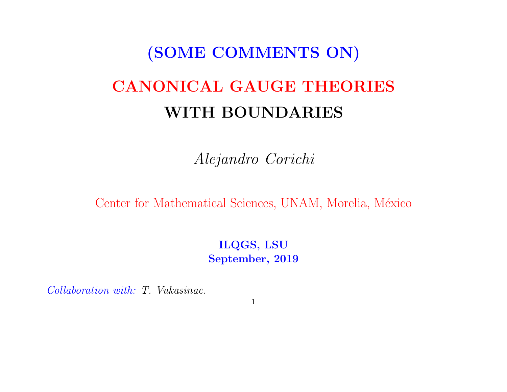# (SOME COMMENTS ON) CANONICAL GAUGE THEORIES WITH BOUNDARIES

Alejandro Corichi

Center for Mathematical Sciences, UNAM, Morelia, México

ILQGS, LSU September, 2019

Collaboration with: T. Vukasinac.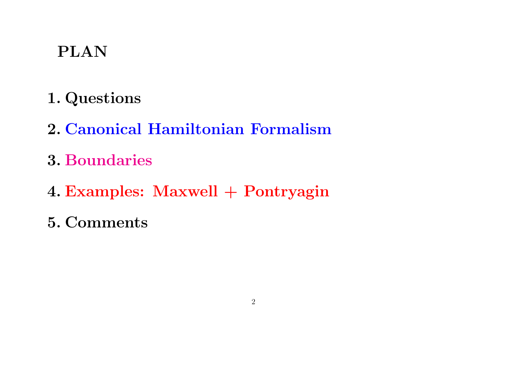# PLAN

- 1. Questions
- 2. Canonical Hamiltonian Formalism
- 3. Boundaries
- 4. Examples: Maxwell + Pontryagin
- 5. Comments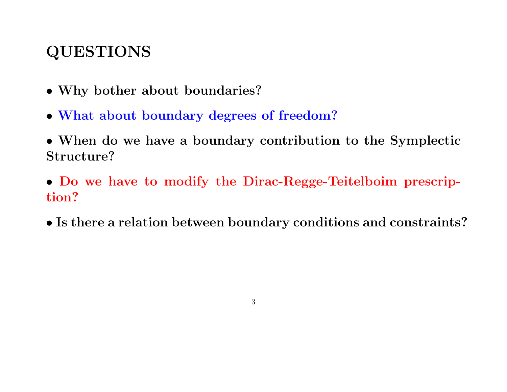# QUESTIONS

- Why bother about boundaries?
- What about boundary degrees of freedom?
- When do we have a boundary contribution to the Symplectic Structure?
- Do we have to modify the Dirac-Regge-Teitelboim prescription?
- Is there a relation between boundary conditions and constraints?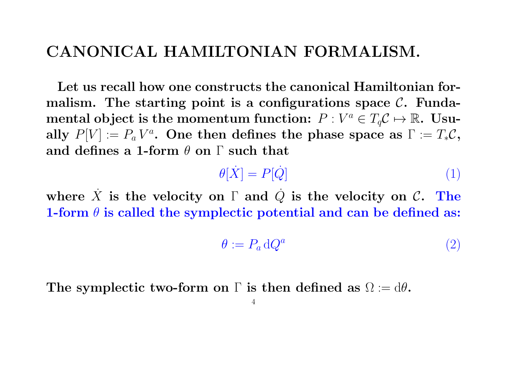#### CANONICAL HAMILTONIAN FORMALISM.

Let us recall how one constructs the canonical Hamiltonian formalism. The starting point is a configurations space  $\mathcal{C}$ . Fundamental object is the momentum function:  $P: V^a \in T_q\mathcal{C} \mapsto \mathbb{R}.$  Usually  $P[V] := P_a V^a$ . One then defines the phase space as  $\Gamma := T_* \mathcal{C}$ , and defines a 1-form  $\theta$  on  $\Gamma$  such that

$$
\theta[\dot{X}] = P[\dot{Q}] \tag{1}
$$

where  $\dot{X}$  is the velocity on  $\Gamma$  and  $\dot{Q}$  is the velocity on  $\mathcal{C}$ . The 1-form  $\theta$  is called the symplectic potential and can be defined as:

$$
\theta := P_a \,\mathrm{d}Q^a \tag{2}
$$

The symplectic two-form on  $\Gamma$  is then defined as  $\Omega := d\theta$ .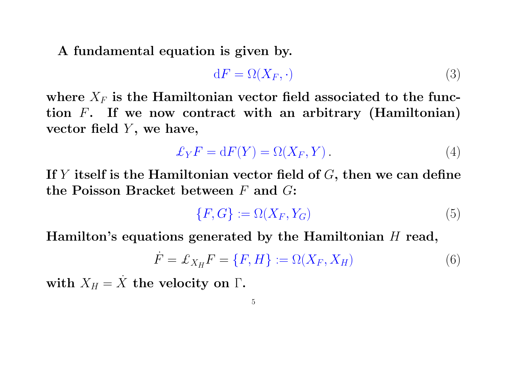A fundamental equation is given by.

$$
dF = \Omega(X_F, \cdot) \tag{3}
$$

where  $X_F$  is the Hamiltonian vector field associated to the function  $F$ . If we now contract with an arbitrary (Hamiltonian) vector field  $Y$ , we have,

$$
\pounds_Y F = dF(Y) = \Omega(X_F, Y). \tag{4}
$$

If Y itself is the Hamiltonian vector field of  $G$ , then we can define the Poisson Bracket between  $F$  and  $G$ :

$$
\{F, G\} := \Omega(X_F, Y_G) \tag{5}
$$

Hamilton's equations generated by the Hamiltonian  $H$  read,

$$
\dot{F} = \mathcal{L}_{X_H} F = \{F, H\} := \Omega(X_F, X_H) \tag{6}
$$

with  $X_H = X$  the velocity on  $\Gamma$ .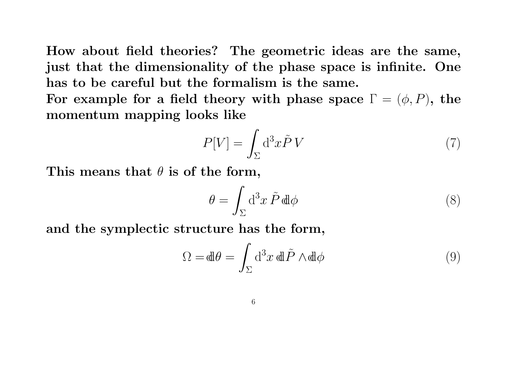How about field theories? The geometric ideas are the same, just that the dimensionality of the phase space is infinite. One has to be careful but the formalism is the same.

For example for a field theory with phase space  $\Gamma = (\phi, P)$ , the momentum mapping looks like

$$
P[V] = \int_{\Sigma} d^3x \tilde{P} V \tag{7}
$$

This means that  $\theta$  is of the form,

$$
\theta = \int_{\Sigma} d^3x \, \tilde{P} \, d\!\mathrm{d}\phi \tag{8}
$$

and the symplectic structure has the form,

$$
\Omega = d\theta = \int_{\Sigma} d^3x \, d\tilde{\mathbf{P}} \wedge d\tilde{\phi}
$$
 (9)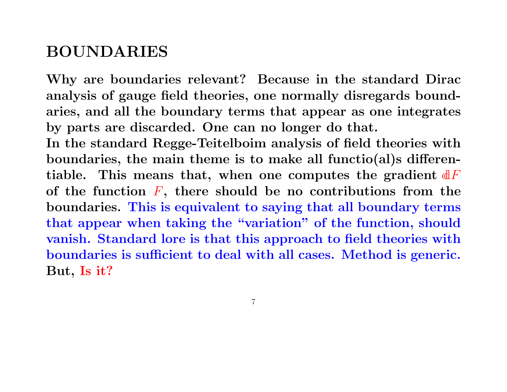## BOUNDARIES

Why are boundaries relevant? Because in the standard Dirac analysis of gauge field theories, one normally disregards boundaries, and all the boundary terms that appear as one integrates by parts are discarded. One can no longer do that.

In the standard Regge-Teitelboim analysis of field theories with boundaries, the main theme is to make all functio(al)s differentiable. This means that, when one computes the gradient  $dF$ of the function  $F$ , there should be no contributions from the boundaries. This is equivalent to saying that all boundary terms that appear when taking the "variation" of the function, should vanish. Standard lore is that this approach to field theories with boundaries is sufficient to deal with all cases. Method is generic. But, Is it?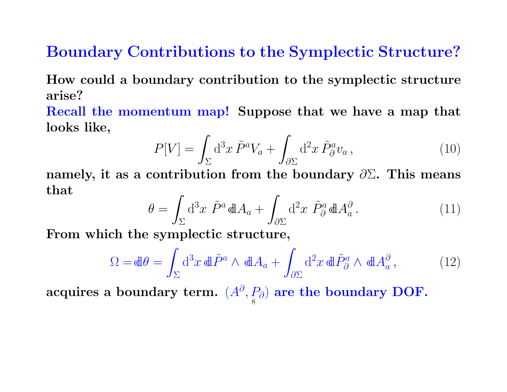## Boundary Contributions to the Symplectic Structure?

How could a boundary contribution to the symplectic structure arise?

Recall the momentum map! Suppose that we have a map that looks like,

$$
P[V] = \int_{\Sigma} d^3x \, \tilde{P}^a V_a + \int_{\partial \Sigma} d^2x \, \tilde{P}^a_{\partial} v_a \,, \tag{10}
$$

namely, it as a contribution from the boundary  $\partial \Sigma$ . This means that

$$
\theta = \int_{\Sigma} d^3x \ \tilde{P}^a dA_a + \int_{\partial \Sigma} d^2x \ \tilde{P}^a_{\partial} dA_a^{\partial}.
$$
 (11)

From which the symplectic structure,

$$
\Omega = d\theta = \int_{\Sigma} d^3x \, d\theta \, \tilde{P}^a \wedge d\theta A_a + \int_{\partial \Sigma} d^2x \, d\theta \, \tilde{P}^a_{\partial} \wedge d\theta A_a^{\partial} ,\tag{12}
$$

acquires a boundary term.  $(A^{\partial}, P_{\partial})$  are the boundary DOF. 8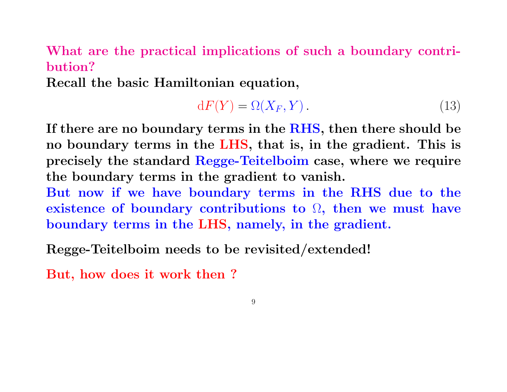#### What are the practical implications of such a boundary contribution?

Recall the basic Hamiltonian equation,

$$
dF(Y) = \Omega(X_F, Y). \tag{13}
$$

If there are no boundary terms in the RHS, then there should be no boundary terms in the LHS, that is, in the gradient. This is precisely the standard Regge-Teitelboim case, where we require the boundary terms in the gradient to vanish.

But now if we have boundary terms in the RHS due to the existence of boundary contributions to  $\Omega$ , then we must have boundary terms in the LHS, namely, in the gradient.

Regge-Teitelboim needs to be revisited/extended!

But, how does it work then ?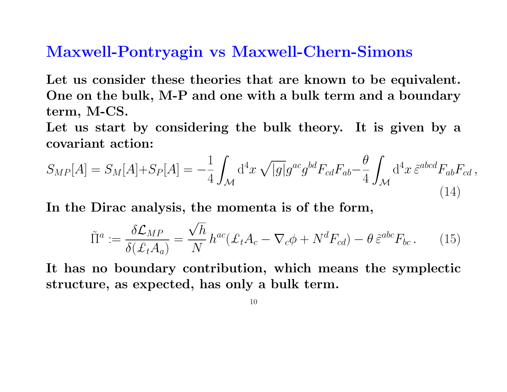#### Maxwell-Pontryagin vs Maxwell-Chern-Simons

Let us consider these theories that are known to be equivalent. One on the bulk, M-P and one with a bulk term and a boundary term, M-CS.

Let us start by considering the bulk theory. It is given by a covariant action:

$$
S_{MP}[A] = S_M[A] + S_P[A] = -\frac{1}{4} \int_{\mathcal{M}} d^4x \sqrt{|g|} g^{ac} g^{bd} F_{cd} F_{ab} - \frac{\theta}{4} \int_{\mathcal{M}} d^4x \, \tilde{\varepsilon}^{abcd} F_{ab} F_{cd} \,,
$$
\n(14)

In the Dirac analysis, the momenta is of the form,

$$
\tilde{\Pi}^a := \frac{\delta \mathcal{L}_{MP}}{\delta(\mathcal{L}_t A_a)} = \frac{\sqrt{h}}{N} h^{ac} (\mathcal{L}_t A_c - \nabla_c \phi + N^d F_{cd}) - \theta \,\tilde{\varepsilon}^{abc} F_{bc} \,. \tag{15}
$$

It has no boundary contribution, which means the symplectic structure, as expected, has only a bulk term.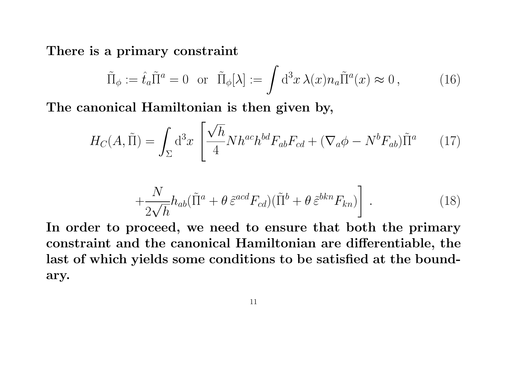There is a primary constraint

$$
\tilde{\Pi}_{\phi} := \hat{t}_a \tilde{\Pi}^a = 0 \quad \text{or} \quad \tilde{\Pi}_{\phi}[\lambda] := \int d^3x \,\lambda(x) n_a \tilde{\Pi}^a(x) \approx 0 \,, \tag{16}
$$

The canonical Hamiltonian is then given by,

$$
H_C(A, \tilde{\Pi}) = \int_{\Sigma} d^3x \left[ \frac{\sqrt{h}}{4} N h^{ac} h^{bd} F_{ab} F_{cd} + (\nabla_a \phi - N^b F_{ab}) \tilde{\Pi}^a \right] \tag{17}
$$

$$
+\frac{N}{2\sqrt{h}}h_{ab}(\tilde{\Pi}^a+\theta\,\tilde{\varepsilon}^{acd}F_{cd})(\tilde{\Pi}^b+\theta\,\tilde{\varepsilon}^{bkn}F_{kn})\bigg] \ . \tag{18}
$$

In order to proceed, we need to ensure that both the primary constraint and the canonical Hamiltonian are differentiable, the last of which yields some conditions to be satisfied at the boundary.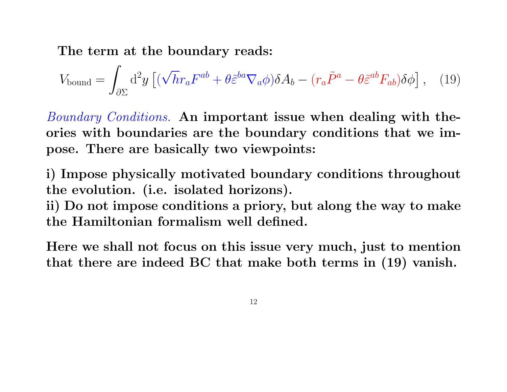The term at the boundary reads:

$$
V_{\text{bound}} = \int_{\partial \Sigma} d^2 y \left[ (\sqrt{h} r_a F^{ab} + \theta \tilde{\varepsilon}^{ba} \nabla_a \phi) \delta A_b - (r_a \tilde{P}^a - \theta \tilde{\varepsilon}^{ab} F_{ab}) \delta \phi \right], \quad (19)
$$

Boundary Conditions. An important issue when dealing with theories with boundaries are the boundary conditions that we impose. There are basically two viewpoints:

i) Impose physically motivated boundary conditions throughout the evolution. (i.e. isolated horizons).

ii) Do not impose conditions a priory, but along the way to make the Hamiltonian formalism well defined.

Here we shall not focus on this issue very much, just to mention that there are indeed BC that make both terms in (19) vanish.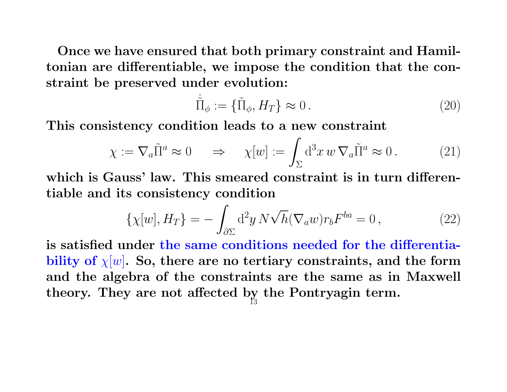Once we have ensured that both primary constraint and Hamiltonian are differentiable, we impose the condition that the constraint be preserved under evolution:

$$
\dot{\tilde{\Pi}}_{\phi} := \{\tilde{\Pi}_{\phi}, H_T\} \approx 0. \tag{20}
$$

This consistency condition leads to a new constraint

$$
\chi := \nabla_a \tilde{\Pi}^a \approx 0 \quad \Rightarrow \quad \chi[w] := \int_{\Sigma} d^3 x \, w \, \nabla_a \tilde{\Pi}^a \approx 0 \,. \tag{21}
$$

which is Gauss' law. This smeared constraint is in turn differentiable and its consistency condition

$$
\{\chi[w], H_T\} = -\int_{\partial \Sigma} d^2 y \, N \sqrt{h} (\nabla_a w) r_b F^{ba} = 0, \qquad (22)
$$

is satisfied under the same conditions needed for the differentiability of  $\chi[w]$ . So, there are no tertiary constraints, and the form and the algebra of the constraints are the same as in Maxwell theory. They are not affected by the Pontryagin term. 13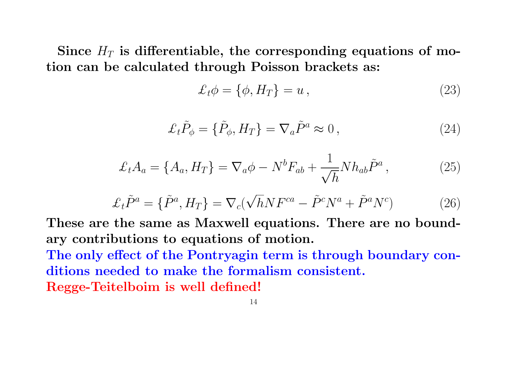Since  $H_T$  is differentiable, the corresponding equations of motion can be calculated through Poisson brackets as:

$$
\mathcal{L}_t \phi = \{ \phi, H_T \} = u \,, \tag{23}
$$

$$
\mathcal{L}_t \tilde{P}_\phi = \{ \tilde{P}_\phi, H_T \} = \nabla_a \tilde{P}^a \approx 0, \qquad (24)
$$

$$
\mathcal{L}_t A_a = \{A_a, H_T\} = \nabla_a \phi - N^b F_{ab} + \frac{1}{\sqrt{h}} N h_{ab} \tilde{P}^a, \qquad (25)
$$

$$
\mathcal{L}_t \tilde{P}^a = \{ \tilde{P}^a, H_T \} = \nabla_c (\sqrt{h} N F^{ca} - \tilde{P}^c N^a + \tilde{P}^a N^c) \tag{26}
$$

These are the same as Maxwell equations. There are no boundary contributions to equations of motion.

The only effect of the Pontryagin term is through boundary conditions needed to make the formalism consistent. Regge-Teitelboim is well defined!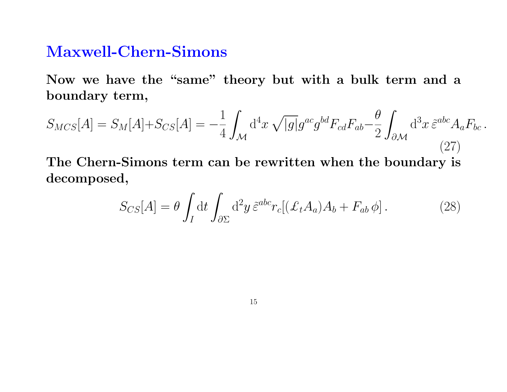#### Maxwell-Chern-Simons

Now we have the "same" theory but with a bulk term and a boundary term,

$$
S_{MCS}[A] = S_M[A] + S_{CS}[A] = -\frac{1}{4} \int_{\mathcal{M}} d^4x \sqrt{|g|} g^{ac} g^{bd} F_{cd} F_{ab} - \frac{\theta}{2} \int_{\partial \mathcal{M}} d^3x \, \tilde{\varepsilon}^{abc} A_a F_{bc} \,. \tag{27}
$$

The Chern-Simons term can be rewritten when the boundary is decomposed,

$$
S_{CS}[A] = \theta \int_I dt \int_{\partial \Sigma} d^2 y \, \tilde{\varepsilon}^{abc} r_c [(\mathcal{L}_t A_a) A_b + F_{ab} \phi]. \tag{28}
$$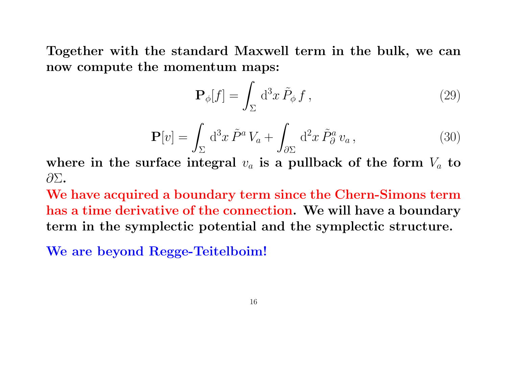Together with the standard Maxwell term in the bulk, we can now compute the momentum maps:

$$
\mathbf{P}_{\phi}[f] = \int_{\Sigma} d^3x \,\tilde{P}_{\phi} \, f \,, \tag{29}
$$

$$
\mathbf{P}[v] = \int_{\Sigma} d^3x \, \tilde{P}^a V_a + \int_{\partial \Sigma} d^2x \, \tilde{P}^a_{\partial} v_a, \qquad (30)
$$

where in the surface integral  $v_a$  is a pullback of the form  $V_a$  to ∂Σ.

We have acquired a boundary term since the Chern-Simons term has a time derivative of the connection. We will have a boundary term in the symplectic potential and the symplectic structure.

We are beyond Regge-Teitelboim!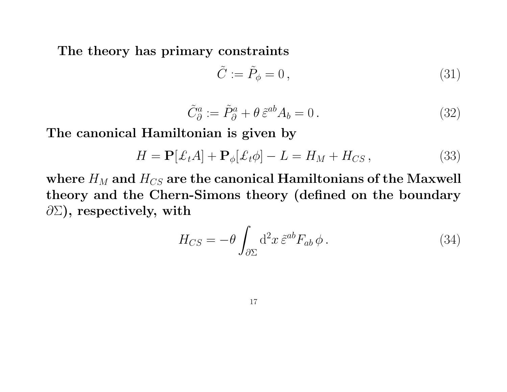The theory has primary constraints

$$
\tilde{C} := \tilde{P}_{\phi} = 0, \qquad (31)
$$

$$
\tilde{C}^a_{\partial} := \tilde{P}^a_{\partial} + \theta \tilde{\varepsilon}^{ab} A_b = 0.
$$
\n(32)

The canonical Hamiltonian is given by

$$
H = \mathbf{P}[\mathcal{L}_t A] + \mathbf{P}_{\phi}[\mathcal{L}_t \phi] - L = H_M + H_{CS},
$$
\n(33)

where  $H_M$  and  $H_{CS}$  are the canonical Hamiltonians of the Maxwell theory and the Chern-Simons theory (defined on the boundary  $\partial \Sigma$ ), respectively, with

$$
H_{CS} = -\theta \int_{\partial \Sigma} d^2 x \, \tilde{\varepsilon}^{ab} F_{ab} \, \phi \,. \tag{34}
$$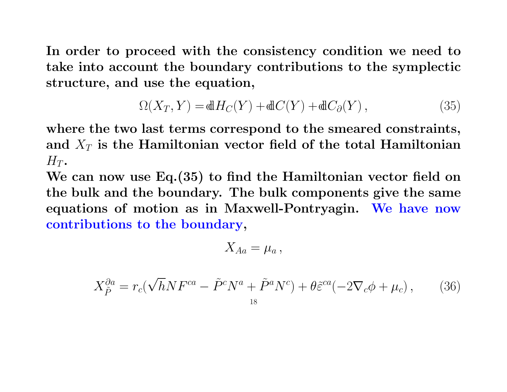In order to proceed with the consistency condition we need to take into account the boundary contributions to the symplectic structure, and use the equation,

$$
\Omega(X_T, Y) = dH_C(Y) + dC(Y) + dC_{\partial}(Y), \qquad (35)
$$

where the two last terms correspond to the smeared constraints, and  $X_T$  is the Hamiltonian vector field of the total Hamiltonian  $H_T$ .

We can now use Eq. (35) to find the Hamiltonian vector field on the bulk and the boundary. The bulk components give the same equations of motion as in Maxwell-Pontryagin. We have now contributions to the boundary,

$$
X_{Aa}=\mu_a\,,
$$

$$
X_{\tilde{P}}^{\partial a} = r_c(\sqrt{h}NF^{ca} - \tilde{P}^cN^a + \tilde{P}^aN^c) + \theta \tilde{\varepsilon}^{ca}(-2\nabla_c\phi + \mu_c), \qquad (36)
$$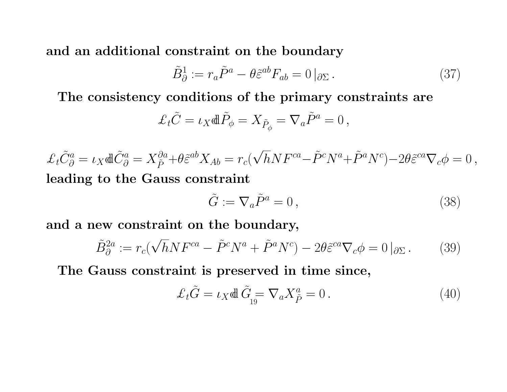and an additional constraint on the boundary

$$
\tilde{B}_{\partial}^{1} := r_{a}\tilde{P}^{a} - \theta \tilde{\varepsilon}^{ab} F_{ab} = 0 \left|_{\partial \Sigma} \right. . \tag{37}
$$

The consistency conditions of the primary constraints are

$$
\mathcal{L}_t \tilde{C} = \iota_X \mathbb{d} \tilde{P}_{\phi} = X_{\tilde{P}_{\phi}} = \nabla_a \tilde{P}^a = 0 \,,
$$

 $\mathcal{L}_t \tilde{C}_\partial^a = \iota_X \mathbb{d} \tilde{C}_\partial^a = X_{\tilde{P}}^{\partial a} + \theta \tilde{\varepsilon}^{ab} X_{Ab} = r_c$ √  $\overline{h} N F^{ca} - \tilde{P}^c N^a + \tilde{P}^a N^c) - 2 \theta \tilde{\varepsilon}^{ca} \nabla_c \phi = 0 \,,$ leading to the Gauss constraint

$$
\tilde{G} := \nabla_a \tilde{P}^a = 0, \qquad (38)
$$

and a new constraint on the boundary,

$$
\tilde{B}_{\partial}^{2a} := r_c(\sqrt{h}NF^{ca} - \tilde{P}^cN^a + \tilde{P}^aN^c) - 2\theta \tilde{\varepsilon}^{ca}\nabla_c \phi = 0 \left|_{\partial \Sigma} \right. \tag{39}
$$

The Gauss constraint is preserved in time since,

$$
\mathcal{L}_t \tilde{G} = \iota_X \mathbb{d} \tilde{G}_{19} = \nabla_a X_{\tilde{P}}^a = 0.
$$
\n(40)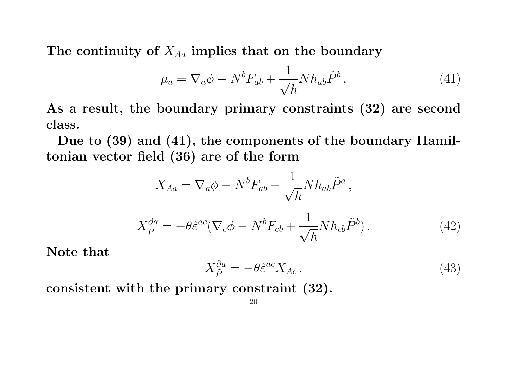The continuity of  $X_{Aa}$  implies that on the boundary

$$
\mu_a = \nabla_a \phi - N^b F_{ab} + \frac{1}{\sqrt{h}} N h_{ab} \tilde{P}^b, \qquad (41)
$$

As a result, the boundary primary constraints (32) are second class.

Due to (39) and (41), the components of the boundary Hamiltonian vector field (36) are of the form

$$
X_{Aa} = \nabla_a \phi - N^b F_{ab} + \frac{1}{\sqrt{h}} N h_{ab} \tilde{P}^a ,
$$

$$
X_{\tilde{P}}^{\partial a} = -\theta \tilde{\varepsilon}^{ac} (\nabla_c \phi - N^b F_{cb} + \frac{1}{\sqrt{h}} N h_{cb} \tilde{P}^b).
$$
 (42)

Note that

$$
X_{\tilde{P}}^{\partial a} = -\theta \tilde{\varepsilon}^{ac} X_{Ac},\tag{43}
$$

consistent with the primary constraint (32).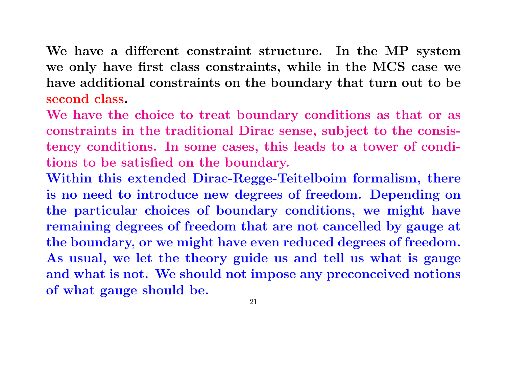We have a different constraint structure. In the MP system we only have first class constraints, while in the MCS case we have additional constraints on the boundary that turn out to be second class.

We have the choice to treat boundary conditions as that or as constraints in the traditional Dirac sense, subject to the consistency conditions. In some cases, this leads to a tower of conditions to be satisfied on the boundary.

Within this extended Dirac-Regge-Teitelboim formalism, there is no need to introduce new degrees of freedom. Depending on the particular choices of boundary conditions, we might have remaining degrees of freedom that are not cancelled by gauge at the boundary, or we might have even reduced degrees of freedom. As usual, we let the theory guide us and tell us what is gauge and what is not. We should not impose any preconceived notions of what gauge should be.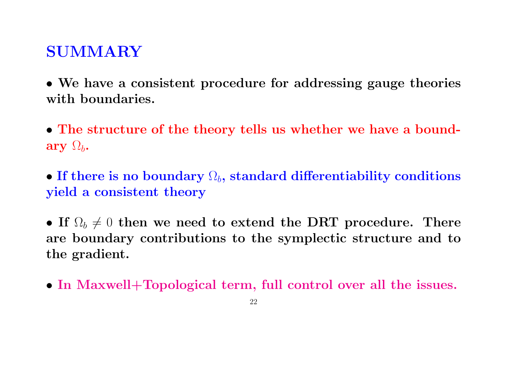### SUMMARY

• We have a consistent procedure for addressing gauge theories with boundaries.

• The structure of the theory tells us whether we have a boundary  $\Omega_b$ .

• If there is no boundary  $\Omega_b$ , standard differentiability conditions yield a consistent theory

• If  $\Omega_b \neq 0$  then we need to extend the DRT procedure. There are boundary contributions to the symplectic structure and to the gradient.

• In Maxwell+Topological term, full control over all the issues.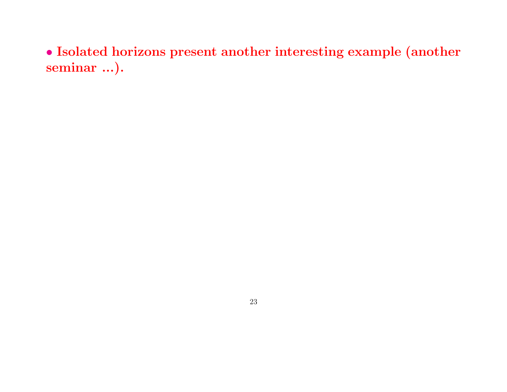• Isolated horizons present another interesting example (another seminar ...).